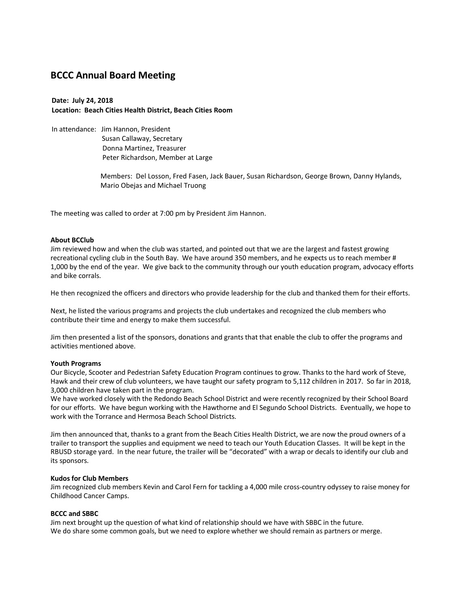# **BCCC Annual Board Meeting**

# **Date: July 24, 2018 Location: Beach Cities Health District, Beach Cities Room**

In attendance: Jim Hannon, President Susan Callaway, Secretary Donna Martinez, Treasurer Peter Richardson, Member at Large

> Members: Del Losson, Fred Fasen, Jack Bauer, Susan Richardson, George Brown, Danny Hylands, Mario Obejas and Michael Truong

The meeting was called to order at 7:00 pm by President Jim Hannon.

#### **About BCClub**

Jim reviewed how and when the club was started, and pointed out that we are the largest and fastest growing recreational cycling club in the South Bay. We have around 350 members, and he expects us to reach member # 1,000 by the end of the year. We give back to the community through our youth education program, advocacy efforts and bike corrals.

He then recognized the officers and directors who provide leadership for the club and thanked them for their efforts.

Next, he listed the various programs and projects the club undertakes and recognized the club members who contribute their time and energy to make them successful.

Jim then presented a list of the sponsors, donations and grants that that enable the club to offer the programs and activities mentioned above.

#### **Youth Programs**

Our Bicycle, Scooter and Pedestrian Safety Education Program continues to grow. Thanks to the hard work of Steve, Hawk and their crew of club volunteers, we have taught our safety program to 5,112 children in 2017. So far in 2018, 3,000 children have taken part in the program.

We have worked closely with the Redondo Beach School District and were recently recognized by their School Board for our efforts. We have begun working with the Hawthorne and El Segundo School Districts. Eventually, we hope to work with the Torrance and Hermosa Beach School Districts.

Jim then announced that, thanks to a grant from the Beach Cities Health District, we are now the proud owners of a trailer to transport the supplies and equipment we need to teach our Youth Education Classes. It will be kept in the RBUSD storage yard. In the near future, the trailer will be "decorated" with a wrap or decals to identify our club and its sponsors.

#### **Kudos for Club Members**

Jim recognized club members Kevin and Carol Fern for tackling a 4,000 mile cross-country odyssey to raise money for Childhood Cancer Camps.

#### **BCCC and SBBC**

Jim next brought up the question of what kind of relationship should we have with SBBC in the future. We do share some common goals, but we need to explore whether we should remain as partners or merge.